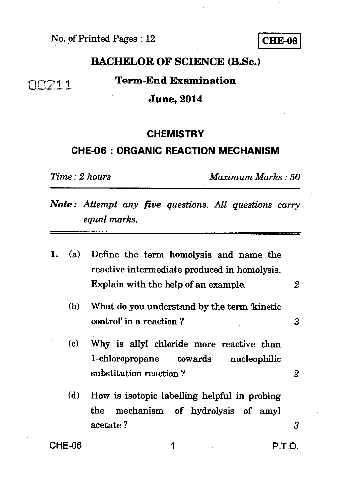# **BACHELOR OF SCIENCE (R.Sc.)**

# 00211 **Term-End Examination**

### **June, 2014**

### **CHEMISTRY**

### **CHE-06 : ORGANIC REACTION MECHANISM**

*Time : 2 hours Maximum Marks : 50* 

*Note : Attempt any five questions. All questions carry equal marks.* 

- *1. (a)* Define the term homolysis and name the reactive intermediate produced in homolysis. Explain with the help of an example. *2* 
	- (b) What do you understand by the term 'kinetic control' in a reaction ? *3*
	- (c) Why is allyl chloride more reactive than 1-chloropropane towards nucleophilic substitution reaction ? *2*
	- (d) How is isotopic labelling helpful in probing the mechanism of hydrolysis of amyl acetate ? 3

CHE-06 1 P.T.O.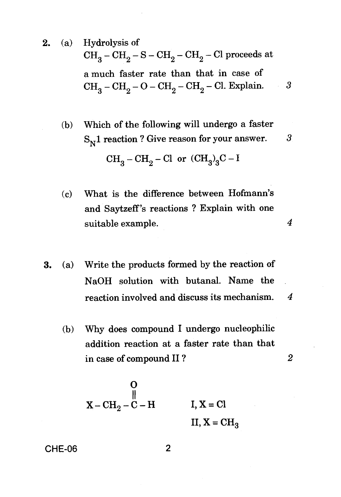**2.** (a) Hydrolysis of  $CH_3-CH_2-S-CH_2-CH_2-Cl$  proceeds at a much faster rate than that in case of  $CH_2-CH_2-O-CH_2-CH_2-Cl$ . Explain. 3

(b) Which of the following will undergo a faster  $\mathrm{S_{N}1}$  reaction ? Give reason for your answer.  $3.3$  $CH_3-CH_2-Cl$  or  $(CH_3)_3C-I$ 

- (c) What is the difference between Hofmann's and Saytzeff's reactions ? Explain with one suitable example. *4*
- **3.** (a) Write the products formed by the reaction of NaOH solution with butanal. Name the reaction involved and discuss its mechanism. 4
	- (b) Why does compound **I** undergo nucleophilic addition reaction at a faster rate than that in case of compound **II ?** *2*

$$
\begin{array}{ccc}\n & 0 \\
 & \parallel \\
X - CH_2 - C - H & I, X = Cl \\
 & II, X = CH_3\n\end{array}
$$

CHE-06 2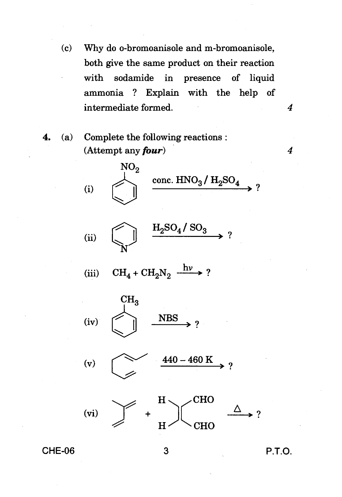(c) Why do o-bromoanisole and m-bromoanisole, both give the same product on their reaction with sodamide in presence of liquid ammonia ? Explain with the help of intermediate formed. *4* 

**4.** (a) Complete the following reactions : (Attempt any *four) 4* 

*NO2*  (i) conc.  $HNO<sub>3</sub>/H<sub>2</sub>SO<sub>4</sub>$ >?

$$
\text{(ii)} \quad \begin{picture}(120,15) \put(0,0){\line(1,0){10}} \put(15,0){\line(1,0){10}} \put(15,0){\line(1,0){10}} \put(15,0){\line(1,0){10}} \put(15,0){\line(1,0){10}} \put(15,0){\line(1,0){10}} \put(15,0){\line(1,0){10}} \put(15,0){\line(1,0){10}} \put(15,0){\line(1,0){10}} \put(15,0){\line(1,0){10}} \put(15,0){\line(1,0){10}} \put(15,0){\line(1,0){10}} \put(15,0){\line(1,0){10}} \put(15,0){\line(1,0){10}} \put(15,0){\line(1,0){10}} \put(15,0){\line(1,0){10}} \put(15,0){\line(1,0){10}} \put(15,0){\line(1,0){10}} \put(15,0){\line(1,0){10}} \put(15,0){\line(1,0){10}} \put(15,0){\line(1,0){10}} \put(15,0){\line(1,0){10}} \put(15,0){\line(1,0){10}} \put(15,0){\line(1,0){10}} \put(15,0){\line(1,0){10}} \put(15,0){\line(1,0){10}} \put(15,0){\line(1,0){10}} \put(15,0){\line(1,0){10}} \put(15,0){\line(1,0){10}} \put(15,0){\line(1,0){10}} \put(15,0){\line(1,0){10}} \put(15,0){\line(1,0){10}} \put(15,0){\line(1,0){10}} \put(15,0){\line(1,0){10}} \put(15,0){\line(1,0){10}} \put(15,0){\line(1,0){10}} \put(15,0){\line(1,0){10}} \put(15,0){\line(1,0){10}} \put(15,0){\line(1,0){10}} \put(15,0){\line(1,0){10}} \put(15,0){\line(1,0){10}} \put(1
$$

(iii)  $\text{CH}_4 + \text{CH}_2\text{N}_2 \xrightarrow{\text{h}\nu} ?$ 

(iv) 
$$
\left(\bigcup_{1}^{CH_3} \qquad \qquad \text{NBS} \qquad \text{?}
$$





**CHE-06 3 P.T.O.**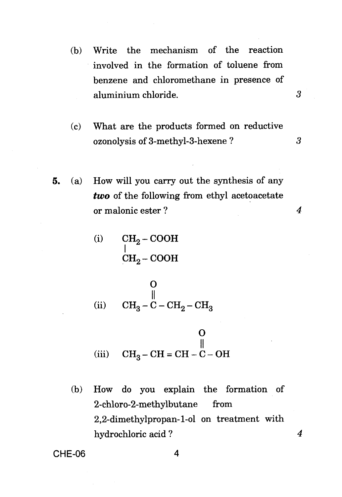(b) Write the mechanism of the reaction involved in the formation of toluene from benzene and chloromethane in presence of aluminium chloride.

 $\boldsymbol{\beta}$ 

- (c) What are the products formed on reductive ozonolysis of 3-methyl-3-hexene ? 3
- 5. (a) How will you carry out the synthesis of any *two* of the following from ethyl acetoacetate or malonic ester ? *4*

(i) 
$$
\begin{array}{cc}\n\text{CH}_2-\text{COOH} \\
\text{CH}_2-\text{COOH}\n\end{array}
$$

O<br>|| (ii)  $CH_3 - C - CH_2 - CH_3$ 

(iii) 
$$
\mathbf{CH}_3 - \mathbf{CH} = \mathbf{CH} - \mathbf{C} - \mathbf{OH}
$$

(b) How do you explain the formation of 2-chloro-2-methylbutane from 2,2-dimethylpropan-l-ol on treatment with hydrochloric acid ? *4* 

 $CHE-06$ 

$$
\mathbf{4} \\
$$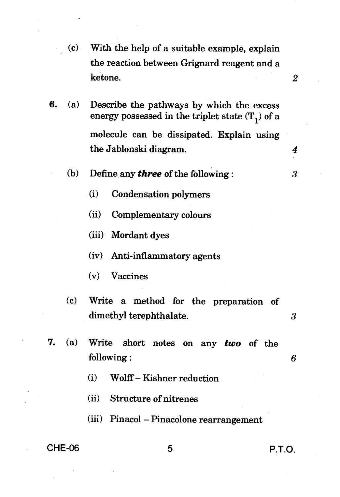- (c) With the help of a suitable example, explain the reaction between Grignard reagent and a ketone. *2*
- **6.** (a) Describe the pathways by which the excess energy possessed in the triplet state  $(T_1)$  of a molecule can be dissipated. Explain using the Jablonski diagram. *4* 
	- (b) Define any **three** of the following :  $3$ 
		- (i) Condensation polymers
		- (ii) Complementary colours
		- (iii) Mordant dyes
		- (iv) Anti-inflammatory agents
		- (v) Vaccines
	- (c) Write a method for the preparation of dimethyl terephthalate. 3
- **7.** (a) Write short notes on any **two** of the following : *6* 
	- (i) Wolff Kishner reduction
	- (ii) Structure of nitrenes
	- (iii) Pinacol Pinacolone rearrangement

## CHE-06 5 P.T.O.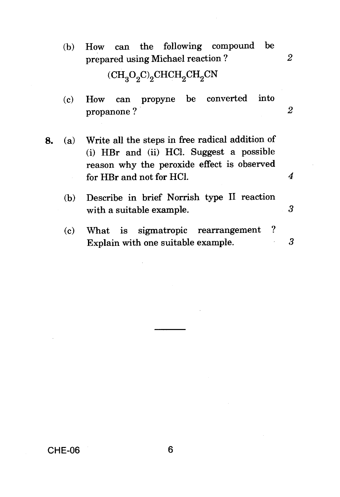- (b) How can the following compound be prepared using Michael reaction ? *2*   $(\text{CH}_3\text{O}_2\text{C})_2$ CHCH<sub>2</sub>CH<sub>2</sub>CN
- (c) How can propyne be converted into propanone ? *2*
- **8.** (a) Write all the steps in free radical addition of (i) HBr and (ii) HC1. Suggest a possible reason why the peroxide effect is observed for HBr and not for HC1. *4* 
	- (b) Describe in brief Norrish type II reaction with a suitable example. 3
	- (c) What is sigmatropic rearrangement ? Explain with one suitable example. 3

CHE-06 6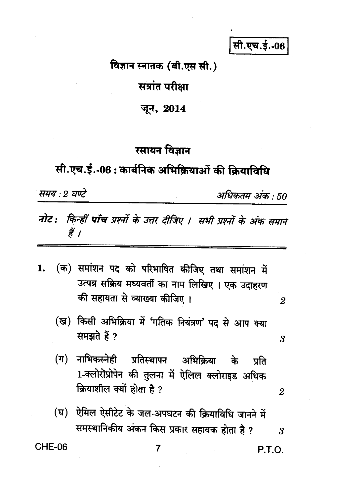सी.एच.ई.-06

विज्ञान स्नातक (बी.एस सी.)

सत्रांत परीक्षा

जून, 2014

## रसायन विज्ञान

## सी.एच.ई.-06: कार्बनिक अभिक्रियाओं की क्रियाविधि

समय : २ घण्टे

अधिकतम अंक : 50

- नोट: किन्हीं पाँच प्रश्नों के उत्तर दीजिए । सभी प्रश्नों के अंक समान हैं ।
- (क) समांशन पद को परिभाषित कीजिए तथा समांशन में 1. उत्पन्न सक्रिय मध्यवर्ती का नाम लिखिए। एक उदाहरण की सहायता से व्याख्या कीजिए ।
	- (ख) किसी अभिक्रिया में 'गतिक नियंत्रण' पद से आप क्या समझते हैं ?
	- (ग) नाभिकस्नेही प्रतिस्थापन अभिक्रिया के प्रति 1-क्लोरोप्रोपेन की तुलना में ऐलिल क्लोराइड अधिक क्रियाशील क्यों होता है ?
	- (घ) ऐमिल ऐसीटेट के जल-अपघटन की क्रियाविधि जानने में समस्थानिकीय अंकन किस प्रकार सहायक होता है ? 3

**CHE-06** 

 $\overline{7}$ 

P.T.O.

2

3

 $\overline{2}$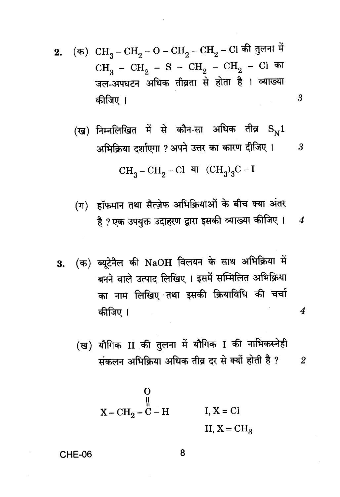(क)  $\rm CH_3-CH_2-O-CH_2-CH_2-Cl$  की तुलना में 2.  $CH_3 - CH_2 - S - CH_2 - CH_2 - Cl$  का जल-अपघटन अधिक तीव्रता से होता है । व्याख्या कीजिए ।

(ख) निम्नलिखित में से कौन-सा अधिक तीव्र  $\mathrm{S}_{\mathrm{w}}1$ अभिक्रिया दर्शाएगा ? अपने उत्तर का कारण दीजिए । 3

3

 $\overline{4}$ 

 $CH_3-CH_2-Cl$  या  $(CH_3)_3C-I$ 

(ग) हॉफमान तथा सैत्ज़ेफ अभिक्रियाओं के बीच क्या अंतर है ? एक उपयुक्त उदाहरण द्वारा इसकी व्याख्या कीजिए । 4

(क) ब्यूटेनैल की NaOH विलयन के साथ अभिक्रिया में 3. बनने वाले उत्पाद लिखिए । इसमें सम्मिलित अभिक्रिया का नाम लिखिए तथा इसकी क्रियाविधि की चर्चा कीजिए ।

(ख) यौगिक II की तुलना में यौगिक I की नाभिकस्नेही संकलन अभिक्रिया अधिक तीव्र दर से क्यों होती है ?  $\overline{2}$ 

$$
\begin{array}{ccc}\n & 0 \\
 & \parallel \\
X - CH_2 - C - H & I, X = Cl \\
 & II, X = CH_3\n\end{array}
$$

#### CHE-06

8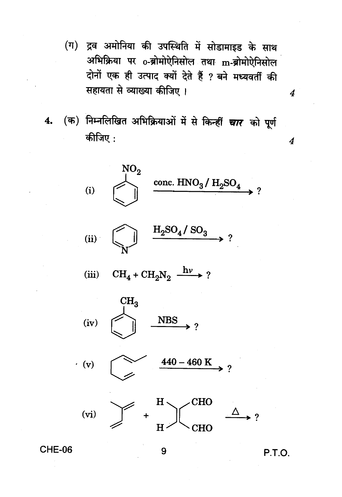- (ग) द्रव अमोनिया की उपस्थिति में सोडामाइड के साथ अभिक्रिया पर o-ब्रोमोऐनिसोल तथा m-ब्रोमोऐनिसोल दोनों एक ही उत्पाद क्यों देते हैं ? बने मध्यवर्ती की सहायता से व्याख्या कीजिए।
- 4. (क) निम्नलिखित अभिक्रियाओं में से किन्हीं चार को पूर्ण कीजिए:



**CHE-06** 

9

P.T.O.

 $\overline{\mathbf{4}}$ 

 $\boldsymbol{4}$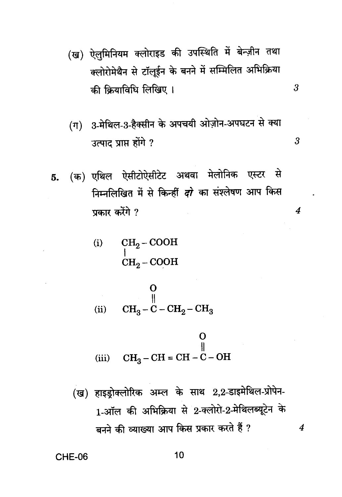(ख) ऐलुमिनियम क्लोराइड की उपस्थिति में बेन्ज़ीन तथा क्लोरोमेथैन से टॉलूईन के बनने में सम्मिलित अभिक्रिया की क्रियाविधि लिखिए।

 $\overline{3}$ 

3

 $\overline{4}$ 

 $\overline{4}$ 

- (ग) 3-मेथिल-3-हैक्सीन के अपचयी ओज़ोन-अपघटन से क्या उत्पाद प्राप्त होंगे ?
- (क) एथिल ऐसीटोऐसीटेट अथवा मेलोनिक एस्टर से 5. निम्नलिखित में से किन्हीं *दो* का संश्लेषण आप किस प्रकार करेंगे ?

(i) 
$$
\begin{array}{cc}\n\text{CH}_2-\text{COOH} \\
\text{CH}_2-\text{COOH}\n\end{array}
$$

O ₩ (ii)  $CH_3 - C - CH_2 - CH_3$ 

(iii) 
$$
CH_3-CH = CH - C - OH
$$

(ख) हाइड्रोक्लोरिक अम्ल के साथ 2,2-डाइमेथिल-प्रोपेन-1-ऑल की अभिक्रिया से 2-क्लोरों-2-मेथिलब्यूटेन के बनने की व्याख्या आप किस प्रकार करते हैं ?

**CHE-06** 

10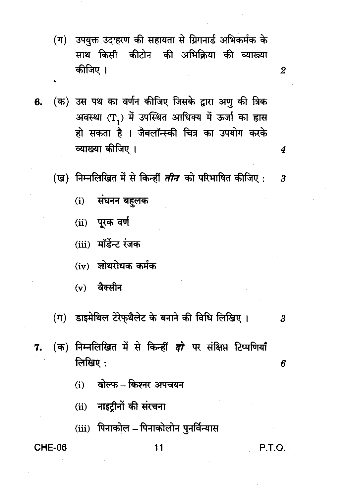- (ग) उपयुक्त उदाहरण की सहायता से ग्रिगनार्ड अभिकर्मक के साथ किसी कीटोन की अभिक्रिया की व्याख्या कीजिए ।
- (क) उस पथ का वर्णन कीजिए जिसके द्वारा अणु की त्रिक 6. अवस्था (T<sub>1</sub>) में उपस्थित आधिक्य में ऊर्जा का ह्रास हो सकता है । जैबलॉन्स्की चित्र का उपयोग करके व्याख्या कीजिए ।
	- (ख) निम्नलिखित में से किन्हीं *तीन* को परिभाषित कीजिए :  $\boldsymbol{\cdot}$ 
		- $(i)$ संघनन बहुलक
		- (ii) पूरक वर्ण
		- (iii) मॉर्डेन्ट रंजक
		- $(iv)$  शोथरोधक कर्मक
		- वैक्सीन  $(v)$
	- (ग) डाइमेथिल टेरेफ़थैलेट के बनाने की विधि लिखिए।  $\boldsymbol{\cdot}$
- (क) निम्नलिखित में से किन्हीं *दो* पर संक्षिप्त टिप्पणियाँ 7. लिखिए $\cdot$ 
	- वोल्फ किश्नर अपचयन  $(i)$
	- (ii) नाइट्रीनों की संरचना
	- (iii) पिनाकोल पिनाकोलोन पुनर्विन्यास

### CHE-06

### 11

### P.T.O.

6

4

 $\boldsymbol{2}$